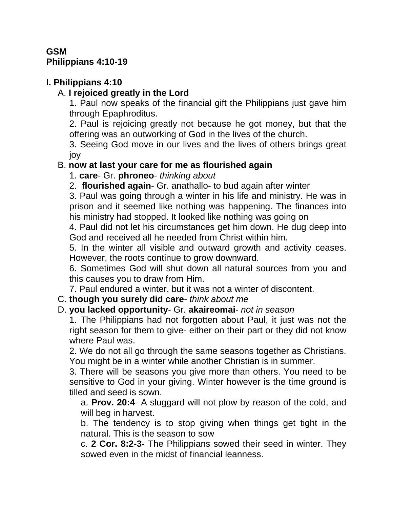## **GSM Philippians 4:10-19**

# **I. Philippians 4:10**

# A. **I rejoiced greatly in the Lord**

1. Paul now speaks of the financial gift the Philippians just gave him through Epaphroditus.

2. Paul is rejoicing greatly not because he got money, but that the offering was an outworking of God in the lives of the church.

3. Seeing God move in our lives and the lives of others brings great joy

## B. **now at last your care for me as flourished again**

1. **care**- Gr. **phroneo**- *thinking about*

2. **flourished again**- Gr. anathallo- to bud again after winter

3. Paul was going through a winter in his life and ministry. He was in prison and it seemed like nothing was happening. The finances into his ministry had stopped. It looked like nothing was going on

4. Paul did not let his circumstances get him down. He dug deep into God and received all he needed from Christ within him.

5. In the winter all visible and outward growth and activity ceases. However, the roots continue to grow downward.

6. Sometimes God will shut down all natural sources from you and this causes you to draw from Him.

7. Paul endured a winter, but it was not a winter of discontent.

C. **though you surely did care**- *think about me*

## D. **you lacked opportunity**- Gr. **akaireomai**- *not in season*

1. The Philippians had not forgotten about Paul, it just was not the right season for them to give- either on their part or they did not know where Paul was.

2. We do not all go through the same seasons together as Christians. You might be in a winter while another Christian is in summer.

3. There will be seasons you give more than others. You need to be sensitive to God in your giving. Winter however is the time ground is tilled and seed is sown.

a. **Prov. 20:4**- A sluggard will not plow by reason of the cold, and will beg in harvest.

b. The tendency is to stop giving when things get tight in the natural. This is the season to sow

c. **2 Cor. 8:2-3**- The Philippians sowed their seed in winter. They sowed even in the midst of financial leanness.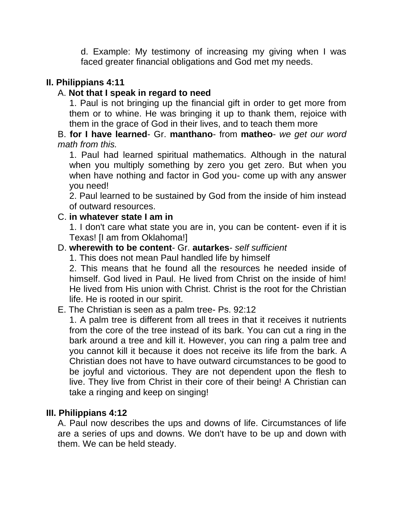d. Example: My testimony of increasing my giving when I was faced greater financial obligations and God met my needs.

# **II. Philippians 4:11**

## A. **Not that I speak in regard to need**

1. Paul is not bringing up the financial gift in order to get more from them or to whine. He was bringing it up to thank them, rejoice with them in the grace of God in their lives, and to teach them more

#### B. **for I have learned**- Gr. **manthano**- from **matheo**- *we get our word math from this.*

1. Paul had learned spiritual mathematics. Although in the natural when you multiply something by zero you get zero. But when you when have nothing and factor in God you- come up with any answer you need!

2. Paul learned to be sustained by God from the inside of him instead of outward resources.

#### C. **in whatever state I am in**

1. I don't care what state you are in, you can be content- even if it is Texas! [I am from Oklahoma!]

#### D. **wherewith to be content**- Gr. **autarkes**- *self sufficient*

1. This does not mean Paul handled life by himself

2. This means that he found all the resources he needed inside of himself. God lived in Paul. He lived from Christ on the inside of him! He lived from His union with Christ. Christ is the root for the Christian life. He is rooted in our spirit.

## E. The Christian is seen as a palm tree- Ps. 92:12

1. A palm tree is different from all trees in that it receives it nutrients from the core of the tree instead of its bark. You can cut a ring in the bark around a tree and kill it. However, you can ring a palm tree and you cannot kill it because it does not receive its life from the bark. A Christian does not have to have outward circumstances to be good to be joyful and victorious. They are not dependent upon the flesh to live. They live from Christ in their core of their being! A Christian can take a ringing and keep on singing!

#### **III. Philippians 4:12**

A. Paul now describes the ups and downs of life. Circumstances of life are a series of ups and downs. We don't have to be up and down with them. We can be held steady.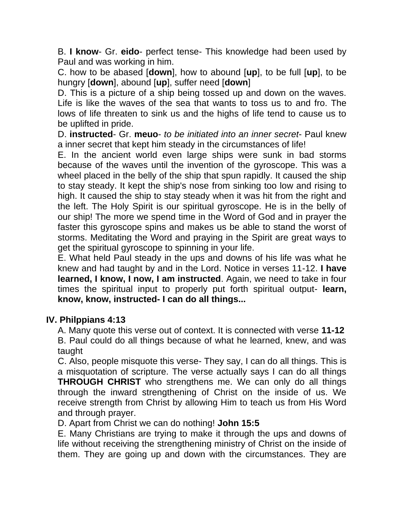B. **I know**- Gr. **eido**- perfect tense- This knowledge had been used by Paul and was working in him.

C. how to be abased [**down**], how to abound [**up**], to be full [**up**], to be hungry [**down**], abound [**up**], suffer need [**down**]

D. This is a picture of a ship being tossed up and down on the waves. Life is like the waves of the sea that wants to toss us to and fro. The lows of life threaten to sink us and the highs of life tend to cause us to be uplifted in pride.

D. **instructed**- Gr. **meuo**- *to be initiated into an inner secret*- Paul knew a inner secret that kept him steady in the circumstances of life!

E. In the ancient world even large ships were sunk in bad storms because of the waves until the invention of the gyroscope. This was a wheel placed in the belly of the ship that spun rapidly. It caused the ship to stay steady. It kept the ship's nose from sinking too low and rising to high. It caused the ship to stay steady when it was hit from the right and the left. The Holy Spirit is our spiritual gyroscope. He is in the belly of our ship! The more we spend time in the Word of God and in prayer the faster this gyroscope spins and makes us be able to stand the worst of storms. Meditating the Word and praying in the Spirit are great ways to get the spiritual gyroscope to spinning in your life.

E. What held Paul steady in the ups and downs of his life was what he knew and had taught by and in the Lord. Notice in verses 11-12. **I have learned, I know, I now, I am instructed**. Again, we need to take in four times the spiritual input to properly put forth spiritual output- **learn, know, know, instructed- I can do all things...**

## **IV. Philppians 4:13**

A. Many quote this verse out of context. It is connected with verse **11-12** B. Paul could do all things because of what he learned, knew, and was taught

C. Also, people misquote this verse- They say, I can do all things. This is a misquotation of scripture. The verse actually says I can do all things **THROUGH CHRIST** who strengthens me. We can only do all things through the inward strengthening of Christ on the inside of us. We receive strength from Christ by allowing Him to teach us from His Word and through prayer.

D. Apart from Christ we can do nothing! **John 15:5** 

E. Many Christians are trying to make it through the ups and downs of life without receiving the strengthening ministry of Christ on the inside of them. They are going up and down with the circumstances. They are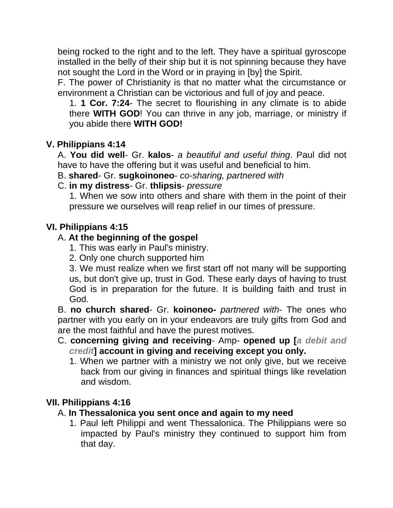being rocked to the right and to the left. They have a spiritual gyroscope installed in the belly of their ship but it is not spinning because they have not sought the Lord in the Word or in praying in [by] the Spirit.

F. The power of Christianity is that no matter what the circumstance or environment a Christian can be victorious and full of joy and peace.

1. **1 Cor. 7:24**- The secret to flourishing in any climate is to abide there **WITH GOD**! You can thrive in any job, marriage, or ministry if you abide there **WITH GOD!**

## **V. Philippians 4:14**

A. **You did well**- Gr. **kalos**- *a beautiful and useful thing*. Paul did not have to have the offering but it was useful and beneficial to him.

- B. **shared** Gr. **sugkoinoneo** *co-sharing, partnered with*
- C. **in my distress** Gr. **thlipsis** *pressure*

1. When we sow into others and share with them in the point of their pressure we ourselves will reap relief in our times of pressure.

## **VI. Philippians 4:15**

## A. **At the beginning of the gospel**

1. This was early in Paul's ministry.

2. Only one church supported him

3. We must realize when we first start off not many will be supporting us, but don't give up, trust in God. These early days of having to trust God is in preparation for the future. It is building faith and trust in God.

B. **no church shared**- Gr. **koinoneo-** *partnered with*- The ones who partner with you early on in your endeavors are truly gifts from God and are the most faithful and have the purest motives.

- C. **concerning giving and receiving** Amp- **opened up [***a debit and credit***] account in giving and receiving except you only.** 
	- 1. When we partner with a ministry we not only give, but we receive back from our giving in finances and spiritual things like revelation and wisdom.

## **VII. Philippians 4:16**

- A. **In Thessalonica you sent once and again to my need**
	- 1. Paul left Philippi and went Thessalonica. The Philippians were so impacted by Paul's ministry they continued to support him from that day.